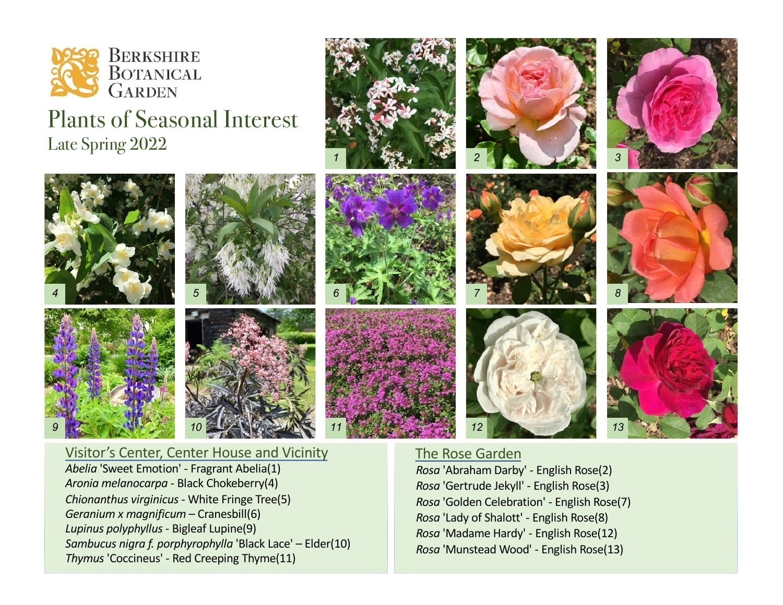

## Plants of Seasonal Interest Late Spring 2022



## Visitor's Center, Center House and Vicinity *Abelia* 'Sweet Emotion' - Fragrant Abelia(1) *Aronia melanocarpa* - Black Chokeberry(4)

*Chionanthus virginicus* - White Fringe Tree(5) *Geranium x magnificum* – Cranesbill(6) *Lupinus polyphyllus* - Bigleaf Lupine(9) *Sambucus nigra f. porphyrophylla* 'Black Lace' – Elder(10) *Thymus* 'Coccineus' - Red Creeping Thyme(11)

## The Rose Garden

*Rosa* 'Abraham Darby' - English Rose(2) *Rosa* 'Gertrude Jekyll' - English Rose(3) *Rosa* 'Golden Celebration' - English Rose(7) *Rosa* 'Lady of Shalott' - English Rose(8) *Rosa* 'Madame Hardy' - English Rose(12) *Rosa* 'Munstead Wood' - English Rose(13)